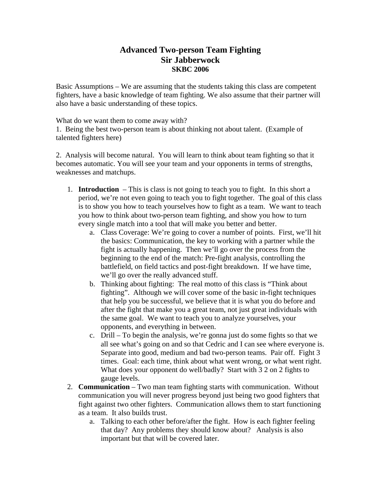## **Advanced Two-person Team Fighting Sir Jabberwock SKBC 2006**

Basic Assumptions – We are assuming that the students taking this class are competent fighters, have a basic knowledge of team fighting. We also assume that their partner will also have a basic understanding of these topics.

What do we want them to come away with?

1. Being the best two-person team is about thinking not about talent. (Example of talented fighters here)

2. Analysis will become natural. You will learn to think about team fighting so that it becomes automatic. You will see your team and your opponents in terms of strengths, weaknesses and matchups.

- 1. **Introduction**  This is class is not going to teach you to fight. In this short a period, we're not even going to teach you to fight together. The goal of this class is to show you how to teach yourselves how to fight as a team. We want to teach you how to think about two-person team fighting, and show you how to turn every single match into a tool that will make you better and better.
	- a. Class Coverage: We're going to cover a number of points. First, we'll hit the basics: Communication, the key to working with a partner while the fight is actually happening. Then we'll go over the process from the beginning to the end of the match: Pre-fight analysis, controlling the battlefield, on field tactics and post-fight breakdown. If we have time, we'll go over the really advanced stuff.
	- b. Thinking about fighting: The real motto of this class is "Think about fighting". Although we will cover some of the basic in-fight techniques that help you be successful, we believe that it is what you do before and after the fight that make you a great team, not just great individuals with the same goal. We want to teach you to analyze yourselves, your opponents, and everything in between.
	- c. Drill To begin the analysis, we're gonna just do some fights so that we all see what's going on and so that Cedric and I can see where everyone is. Separate into good, medium and bad two-person teams. Pair off. Fight 3 times. Goal: each time, think about what went wrong, or what went right. What does your opponent do well/badly? Start with 3 2 on 2 fights to gauge levels.
- 2. **Communication**  Two man team fighting starts with communication. Without communication you will never progress beyond just being two good fighters that fight against two other fighters. Communication allows them to start functioning as a team. It also builds trust.
	- a. Talking to each other before/after the fight. How is each fighter feeling that day? Any problems they should know about? Analysis is also important but that will be covered later.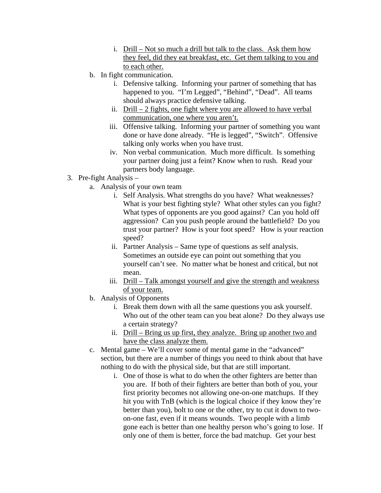- i. Drill Not so much a drill but talk to the class. Ask them how they feel, did they eat breakfast, etc. Get them talking to you and to each other.
- b. In fight communication.
	- i. Defensive talking. Informing your partner of something that has happened to you. "I'm Legged", "Behind", "Dead". All teams should always practice defensive talking.
	- ii. Drill  $-2$  fights, one fight where you are allowed to have verbal communication, one where you aren't.
	- iii. Offensive talking. Informing your partner of something you want done or have done already. "He is legged", "Switch". Offensive talking only works when you have trust.
	- iv. Non verbal communication. Much more difficult. Is something your partner doing just a feint? Know when to rush. Read your partners body language.
- 3. Pre-fight Analysis
	- a. Analysis of your own team
		- i. Self Analysis. What strengths do you have? What weaknesses? What is your best fighting style? What other styles can you fight? What types of opponents are you good against? Can you hold off aggression? Can you push people around the battlefield? Do you trust your partner? How is your foot speed? How is your reaction speed?
		- ii. Partner Analysis Same type of questions as self analysis. Sometimes an outside eye can point out something that you yourself can't see. No matter what be honest and critical, but not mean.
		- iii. Drill Talk amongst yourself and give the strength and weakness of your team.
	- b. Analysis of Opponents
		- i. Break them down with all the same questions you ask yourself. Who out of the other team can you beat alone? Do they always use a certain strategy?
		- ii. Drill Bring us up first, they analyze. Bring up another two and have the class analyze them.
	- c. Mental game We'll cover some of mental game in the "advanced" section, but there are a number of things you need to think about that have nothing to do with the physical side, but that are still important.
		- i. One of those is what to do when the other fighters are better than you are. If both of their fighters are better than both of you, your first priority becomes not allowing one-on-one matchups. If they hit you with TnB (which is the logical choice if they know they're better than you), bolt to one or the other, try to cut it down to twoon-one fast, even if it means wounds. Two people with a limb gone each is better than one healthy person who's going to lose. If only one of them is better, force the bad matchup. Get your best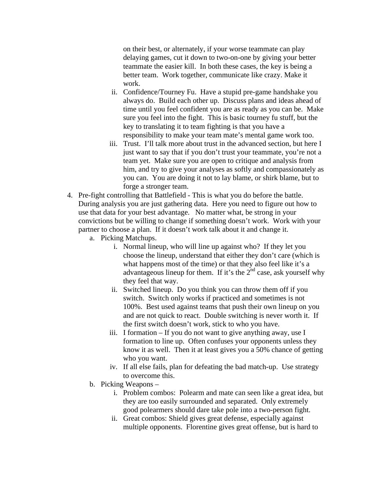on their best, or alternately, if your worse teammate can play delaying games, cut it down to two-on-one by giving your better teammate the easier kill. In both these cases, the key is being a better team. Work together, communicate like crazy. Make it work.

- ii. Confidence/Tourney Fu. Have a stupid pre-game handshake you always do. Build each other up. Discuss plans and ideas ahead of time until you feel confident you are as ready as you can be. Make sure you feel into the fight. This is basic tourney fu stuff, but the key to translating it to team fighting is that you have a responsibility to make your team mate's mental game work too.
- iii. Trust. I'll talk more about trust in the advanced section, but here I just want to say that if you don't trust your teammate, you're not a team yet. Make sure you are open to critique and analysis from him, and try to give your analyses as softly and compassionately as you can. You are doing it not to lay blame, or shirk blame, but to forge a stronger team.
- 4. Pre-fight controlling that Battlefield This is what you do before the battle. During analysis you are just gathering data. Here you need to figure out how to use that data for your best advantage. No matter what, be strong in your convictions but be willing to change if something doesn't work. Work with your partner to choose a plan. If it doesn't work talk about it and change it.
	- a. Picking Matchups.
		- i. Normal lineup, who will line up against who? If they let you choose the lineup, understand that either they don't care (which is what happens most of the time) or that they also feel like it's a advantageous lineup for them. If it's the  $2<sup>nd</sup>$  case, ask yourself why they feel that way.
		- ii. Switched lineup. Do you think you can throw them off if you switch. Switch only works if practiced and sometimes is not 100%. Best used against teams that push their own lineup on you and are not quick to react. Double switching is never worth it. If the first switch doesn't work, stick to who you have.
		- iii. I formation If you do not want to give anything away, use I formation to line up. Often confuses your opponents unless they know it as well. Then it at least gives you a 50% chance of getting who you want.
		- iv. If all else fails, plan for defeating the bad match-up. Use strategy to overcome this.
	- b. Picking Weapons
		- i. Problem combos: Polearm and mate can seen like a great idea, but they are too easily surrounded and separated. Only extremely good polearmers should dare take pole into a two-person fight.
		- ii. Great combos: Shield gives great defense, especially against multiple opponents. Florentine gives great offense, but is hard to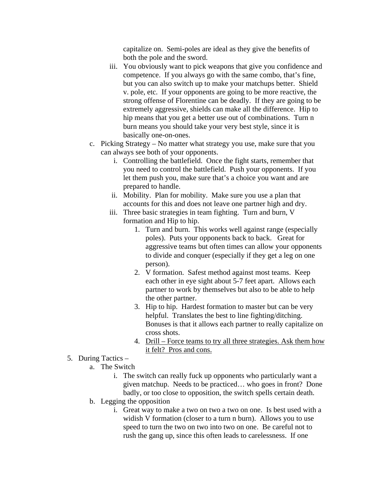capitalize on. Semi-poles are ideal as they give the benefits of both the pole and the sword.

- iii. You obviously want to pick weapons that give you confidence and competence. If you always go with the same combo, that's fine, but you can also switch up to make your matchups better. Shield v. pole, etc. If your opponents are going to be more reactive, the strong offense of Florentine can be deadly. If they are going to be extremely aggressive, shields can make all the difference. Hip to hip means that you get a better use out of combinations. Turn n burn means you should take your very best style, since it is basically one-on-ones.
- c. Picking Strategy No matter what strategy you use, make sure that you can always see both of your opponents.
	- i. Controlling the battlefield. Once the fight starts, remember that you need to control the battlefield. Push your opponents. If you let them push you, make sure that's a choice you want and are prepared to handle.
	- ii. Mobility. Plan for mobility. Make sure you use a plan that accounts for this and does not leave one partner high and dry.
	- iii. Three basic strategies in team fighting. Turn and burn, V formation and Hip to hip.
		- 1. Turn and burn. This works well against range (especially poles). Puts your opponents back to back. Great for aggressive teams but often times can allow your opponents to divide and conquer (especially if they get a leg on one person).
		- 2. V formation. Safest method against most teams. Keep each other in eye sight about 5-7 feet apart. Allows each partner to work by themselves but also to be able to help the other partner.
		- 3. Hip to hip. Hardest formation to master but can be very helpful. Translates the best to line fighting/ditching. Bonuses is that it allows each partner to really capitalize on cross shots.
		- 4. Drill Force teams to try all three strategies. Ask them how it felt? Pros and cons.
- 5. During Tactics
	- a. The Switch
		- i. The switch can really fuck up opponents who particularly want a given matchup. Needs to be practiced… who goes in front? Done badly, or too close to opposition, the switch spells certain death.
	- b. Legging the opposition
		- i. Great way to make a two on two a two on one. Is best used with a widish V formation (closer to a turn n burn). Allows you to use speed to turn the two on two into two on one. Be careful not to rush the gang up, since this often leads to carelessness. If one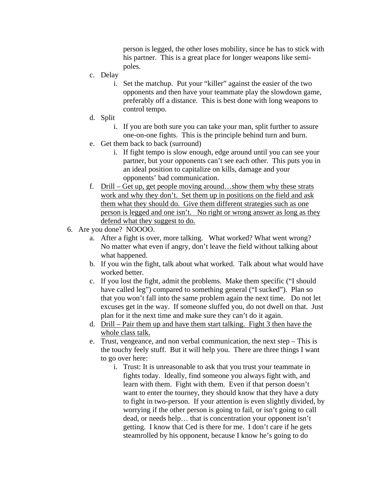person is legged, the other loses mobility, since he has to stick with his partner. This is a great place for longer weapons like semipoles.

- c. Delay
	- i. Set the matchup. Put your "killer" against the easier of the two opponents and then have your teammate play the slowdown game, preferably off a distance. This is best done with long weapons to control tempo.
- d. Split
	- i. If you are both sure you can take your man, split further to assure one-on-one fights. This is the principle behind turn and burn.
- e. Get them back to back (surround)
	- i. If fight tempo is slow enough, edge around until you can see your partner, but your opponents can't see each other. This puts you in an ideal position to capitalize on kills, damage and your opponents' bad communication.
- f. Drill Get up, get people moving around…show them why these strats work and why they don't. Set them up in positions on the field and ask them what they should do. Give them different strategies such as one person is legged and one isn't. No right or wrong answer as long as they defend what they suggest to do.
- 6. Are you done? NOOOO.
	- a. After a fight is over, more talking. What worked? What went wrong? No matter what even if angry, don't leave the field without talking about what happened.
	- b. If you win the fight, talk about what worked. Talk about what would have worked better.
	- c. If you lost the fight, admit the problems. Make them specific ("I should have called leg") compared to something general ("I sucked"). Plan so that you won't fall into the same problem again the next time. Do not let excuses get in the way. If someone sluffed you, do not dwell on that. Just plan for it the next time and make sure they can't do it again.
	- d. Drill Pair them up and have them start talking. Fight 3 then have the whole class talk.
	- e. Trust, vengeance, and non verbal communication, the next step This is the touchy feely stuff. But it will help you. There are three things I want to go over here:
		- i. Trust: It is unreasonable to ask that you trust your teammate in fights today. Ideally, find someone you always fight with, and learn with them. Fight with them. Even if that person doesn't want to enter the tourney, they should know that they have a duty to fight in two-person. If your attention is even slightly divided, by worrying if the other person is going to fail, or isn't going to call dead, or needs help… that is concentration your opponent isn't getting. I know that Ced is there for me. I don't care if he gets steamrolled by his opponent, because I know he's going to do